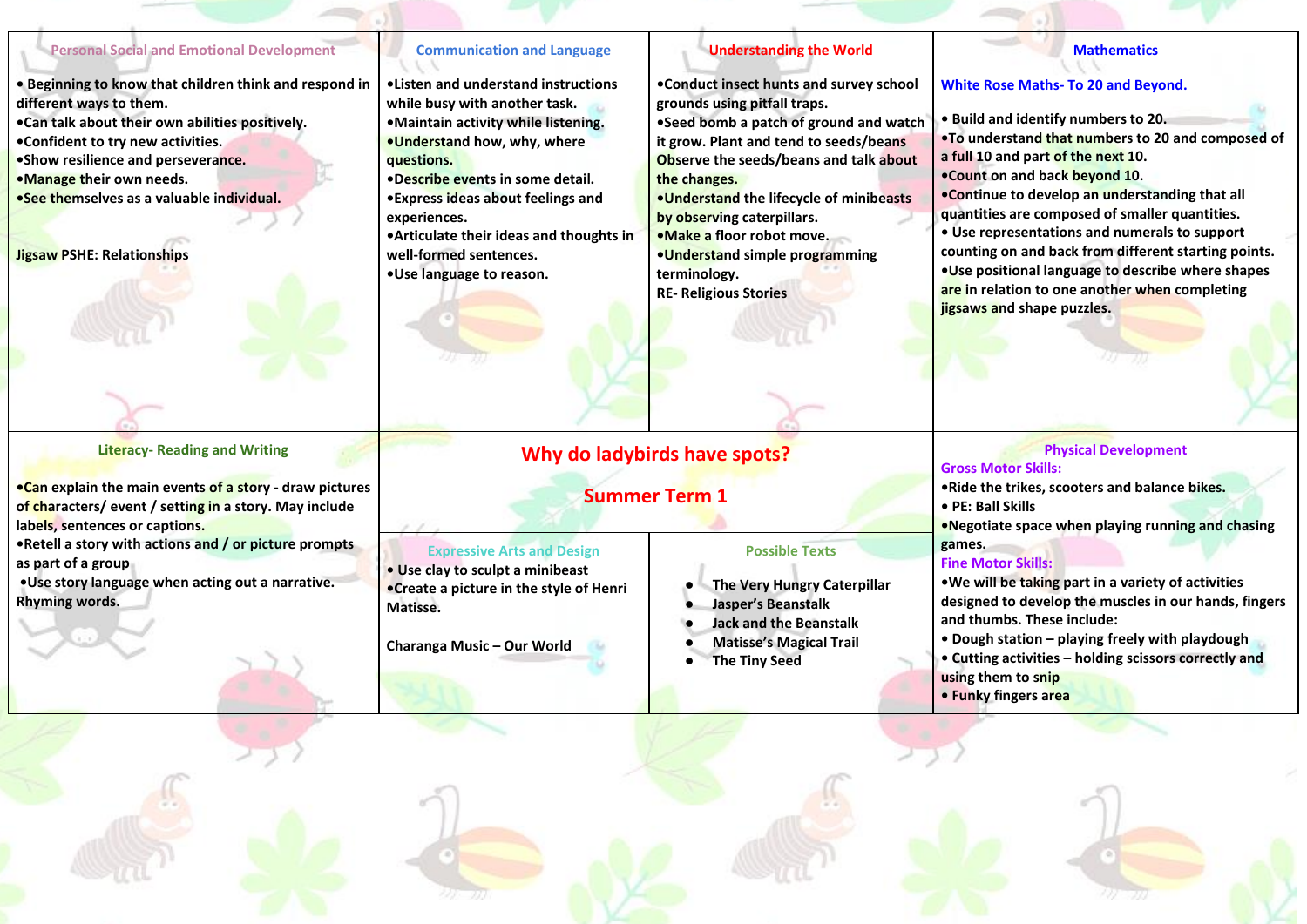#### **Personal Social and Emotional Development**

- **• Beginning to know that children think and respond in different ways to them.**
- **•Can talk about their own abilities positively.**
- **•Confident to try new activities.**
- **•Show resilience and perseverance.**
- **•Manage their own needs.**
- **•See themselves as a valuable individual.**

**Jigsaw PSHE: Relationships**

### **Literacy- Reading and Writing**

- **•Can explain the main events of a story - draw pictures of characters/ event / setting in a story. May include labels, sentences or captions.**
- **•Retell a story with actions and / or picture prompts as part of a group**
- **•Use story language when acting out a narrative. Rhyming words.**

## **Communication and Language**

- **•Listen and understand instructions while busy with another task.**
- **•Maintain activity while listening. •Understand how, why, where questions.**
- **•Describe events in some detail.**
- **•Express ideas about feelings and experiences.**
- **•Articulate their ideas and thoughts in well-formed sentences.**

**Expressive Arts and Design** 

**• Use clay to sculpt a minibeast •Create a picture in the style of Henri** 

**Charanga Music – Our World**

**Matisse.** 

**•Use language to reason.**

## **Understanding the World**

**•Conduct insect hunts and survey school grounds using pitfall traps.** 

**•Seed bomb a patch of ground and watch it grow. Plant and tend to seeds/beans Observe the seeds/beans and talk about the changes.** 

**•Understand the lifecycle of minibeasts by observing caterpillars.** 

- **•Make a floor robot move. •Understand simple programming**
- **terminology. RE- Religious Stories**

## **Why do ladybirds have spots?**

# **Summer Term 1**

- **The Very Hungry Caterpillar**
- 
- 
- 

**Mathematics**

**•To understand that numbers to 20 and composed of** 

**•Continue to develop an understanding that all quantities are composed of smaller quantities. • Use representations and numerals to support counting on and back from different starting points. •Use positional language to describe where shapes are in relation to one another when completing** 

**White Rose Maths- To 20 and Beyond.** 

**• Build and identify numbers to 20.**

**a full 10 and part of the next 10. •Count on and back beyond 10.** 

## **Physical Development**

## **Gross Motor Skills:**

**jigsaws and shape puzzles.** 

**•Ride the trikes, scooters and balance bikes.** 

**• PE: Ball Skills** 

**•Negotiate space when playing running and chasing games.**

## **Fine Motor Skills:**

**•We will be taking part in a variety of activities designed to develop the muscles in our hands, fingers and thumbs. These include:** 

- **Dough station – playing freely with playdough**
- **Cutting activities – holding scissors correctly and using them to snip**
- **Funky fingers area**



**Possible Texts**

- **Jasper's Beanstalk**
- **Jack and the Beanstalk** 
	- **Matisse's Magical Trail**
	- **The Tiny Seed**